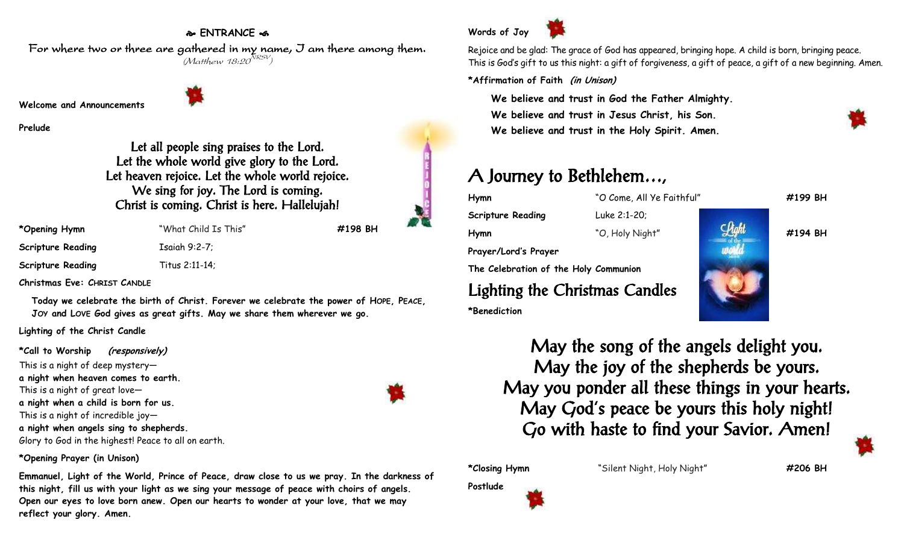## **ENTRANCE**

For where two or three are gathered in my name, I am there among them.  $(M$ atthew 18:20 $^{NRSV})$ 

**Welcome and Announcements**

**Prelude**

Let all people sing praises to the Lord. Let the whole world give glory to the Lord. Let heaven rejoice. Let the whole world rejoice. We sing for joy. The Lord is coming. Christ is coming. Christ is here. Hallelujah!

| *Opening Hymn            |  |
|--------------------------|--|
| <b>Scripture Reading</b> |  |
| <b>Scripture Reading</b> |  |

**\*Opening Hymn** "What Child Is This" **#198 BH Tsaiah 9:2-7:** 

**Scripture Reading** Titus 2:11-14;

**Christmas Eve: CHRIST CANDLE**

**Today we celebrate the birth of Christ. Forever we celebrate the power of HOPE, PEACE, JOY and LOVE God gives as great gifts. May we share them wherever we go.**

**Lighting of the Christ Candle**

**\*Call to Worship (responsively)** This is a night of deep mystery **a night when heaven comes to earth.** This is a night of great love **a night when a child is born for us.** This is a night of incredible joy **a night when angels sing to shepherds.** Glory to God in the highest! Peace to all on earth.

**\*Opening Prayer (in Unison)**

**Emmanuel, Light of the World, Prince of Peace, draw close to us we pray. In the darkness of this night, fill us with your light as we sing your message of peace with choirs of angels. Open our eyes to love born anew. Open our hearts to wonder at your love, that we may reflect your glory. Amen.**



Rejoice and be glad: The grace of God has appeared, bringing hope. A child is born, bringing peace. This is God's gift to us this night: a gift of forgiveness, a gift of peace, a gift of a new beginning. Amen.

**\*Affirmation of Faith (in Unison)**

**We believe and trust in God the Father Almighty. We believe and trust in Jesus Christ, his Son. We believe and trust in the Holy Spirit. Amen.**

## A Journey to Bethlehem…,

**Hymn** "O Come, All Ye Faithful" **#199 BH Scripture Reading** Luke 2:1-20; **Hymn** "O, Holy Night" **#194 BH Prayer/Lord's Prayer The Celebration of the Holy Communion** Lighting the Christmas Candles **\*Benediction**



May the song of the angels delight you. May the joy of the shepherds be yours. May you ponder all these things in your hearts. May God's peace be yours this holy night! Go with haste to find your Savior. Amen!

**\*Closing Hymn** "Silent Night, Holy Night" **#206 BH**

**Postlude**